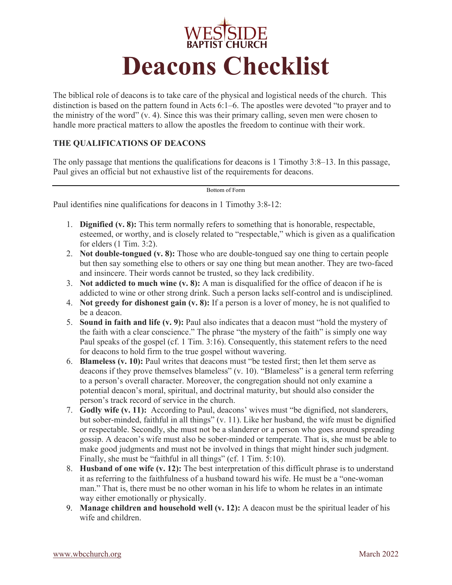

The biblical role of deacons is to take care of the physical and logistical needs of the church. This distinction is based on the pattern found in Acts 6:1–6. The apostles were devoted "to prayer and to the ministry of the word" (v. 4). Since this was their primary calling, seven men were chosen to handle more practical matters to allow the apostles the freedom to continue with their work.

### **THE QUALIFICATIONS OF DEACONS**

The only passage that mentions the qualifications for deacons is 1 Timothy 3:8–13. In this passage, Paul gives an official but not exhaustive list of the requirements for deacons.

Bottom of Form

Paul identifies nine qualifications for deacons in 1 Timothy 3:8-12:

- 1. **Dignified (v. 8):** This term normally refers to something that is honorable, respectable, esteemed, or worthy, and is closely related to "respectable," which is given as a qualification for elders (1 Tim. 3:2).
- 2. **Not double-tongued (v. 8):** Those who are double-tongued say one thing to certain people but then say something else to others or say one thing but mean another. They are two-faced and insincere. Their words cannot be trusted, so they lack credibility.
- 3. **Not addicted to much wine (v. 8):** A man is disqualified for the office of deacon if he is addicted to wine or other strong drink. Such a person lacks self-control and is undisciplined.
- 4. **Not greedy for dishonest gain (v. 8):** If a person is a lover of money, he is not qualified to be a deacon.
- 5. **Sound in faith and life (v. 9):** Paul also indicates that a deacon must "hold the mystery of the faith with a clear conscience." The phrase "the mystery of the faith" is simply one way Paul speaks of the gospel (cf. 1 Tim. 3:16). Consequently, this statement refers to the need for deacons to hold firm to the true gospel without wavering.
- 6. **Blameless (v. 10):** Paul writes that deacons must "be tested first; then let them serve as deacons if they prove themselves blameless" (v. 10). "Blameless" is a general term referring to a person's overall character. Moreover, the congregation should not only examine a potential deacon's moral, spiritual, and doctrinal maturity, but should also consider the person's track record of service in the church.
- 7. **Godly wife (v. 11):** According to Paul, deacons' wives must "be dignified, not slanderers, but sober-minded, faithful in all things" (v. 11). Like her husband, the wife must be dignified or respectable. Secondly, she must not be a slanderer or a person who goes around spreading gossip. A deacon's wife must also be sober-minded or temperate. That is, she must be able to make good judgments and must not be involved in things that might hinder such judgment. Finally, she must be "faithful in all things" (cf. 1 Tim. 5:10).
- 8. **Husband of one wife (v. 12):** The best interpretation of this difficult phrase is to understand it as referring to the faithfulness of a husband toward his wife. He must be a "one-woman man." That is, there must be no other woman in his life to whom he relates in an intimate way either emotionally or physically.
- 9. **Manage children and household well (v. 12):** A deacon must be the spiritual leader of his wife and children.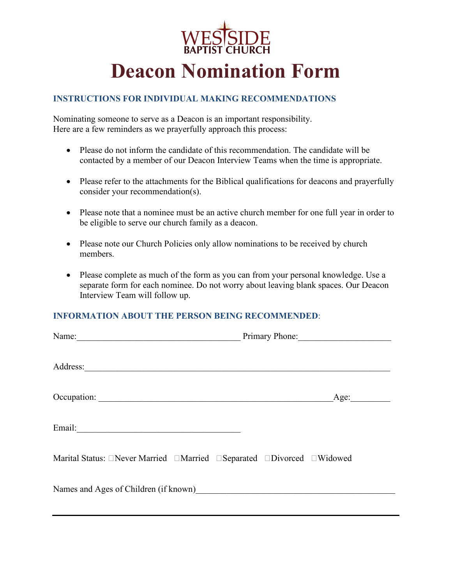

### **INSTRUCTIONS FOR INDIVIDUAL MAKING RECOMMENDATIONS**

Nominating someone to serve as a Deacon is an important responsibility. Here are a few reminders as we prayerfully approach this process:

- Please do not inform the candidate of this recommendation. The candidate will be contacted by a member of our Deacon Interview Teams when the time is appropriate.
- Please refer to the attachments for the Biblical qualifications for deacons and prayerfully consider your recommendation(s).
- Please note that a nominee must be an active church member for one full year in order to be eligible to serve our church family as a deacon.
- Please note our Church Policies only allow nominations to be received by church members.
- Please complete as much of the form as you can from your personal knowledge. Use a separate form for each nominee. Do not worry about leaving blank spaces. Our Deacon Interview Team will follow up.

## **INFORMATION ABOUT THE PERSON BEING RECOMMENDED**:

| Name:                                 | Primary Phone: |
|---------------------------------------|----------------|
| Address:                              |                |
| Occupation:                           | Age:           |
|                                       |                |
|                                       |                |
| Names and Ages of Children (if known) |                |